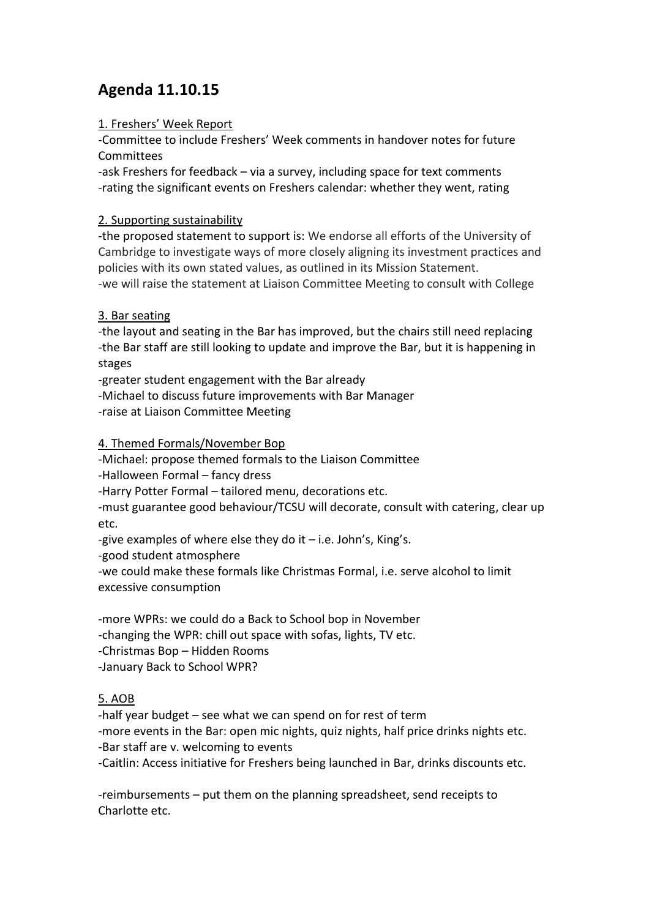# **Agenda 11.10.15**

# 1. Freshers' Week Report

-Committee to include Freshers' Week comments in handover notes for future Committees

-ask Freshers for feedback – via a survey, including space for text comments -rating the significant events on Freshers calendar: whether they went, rating

### 2. Supporting sustainability

-the proposed statement to support is: We endorse all efforts of the University of Cambridge to investigate ways of more closely aligning its investment practices and policies with its own stated values, as outlined in its Mission Statement. -we will raise the statement at Liaison Committee Meeting to consult with College

# 3. Bar seating

-the layout and seating in the Bar has improved, but the chairs still need replacing -the Bar staff are still looking to update and improve the Bar, but it is happening in stages

-greater student engagement with the Bar already

-Michael to discuss future improvements with Bar Manager

-raise at Liaison Committee Meeting

4. Themed Formals/November Bop

-Michael: propose themed formals to the Liaison Committee

-Halloween Formal – fancy dress

-Harry Potter Formal – tailored menu, decorations etc.

-must guarantee good behaviour/TCSU will decorate, consult with catering, clear up etc.

-give examples of where else they do it  $-$  i.e. John's, King's.

-good student atmosphere

-we could make these formals like Christmas Formal, i.e. serve alcohol to limit excessive consumption

-more WPRs: we could do a Back to School bop in November

-changing the WPR: chill out space with sofas, lights, TV etc.

-Christmas Bop – Hidden Rooms

-January Back to School WPR?

# 5. AOB

-half year budget – see what we can spend on for rest of term -more events in the Bar: open mic nights, quiz nights, half price drinks nights etc.

-Bar staff are v. welcoming to events

-Caitlin: Access initiative for Freshers being launched in Bar, drinks discounts etc.

-reimbursements – put them on the planning spreadsheet, send receipts to Charlotte etc.